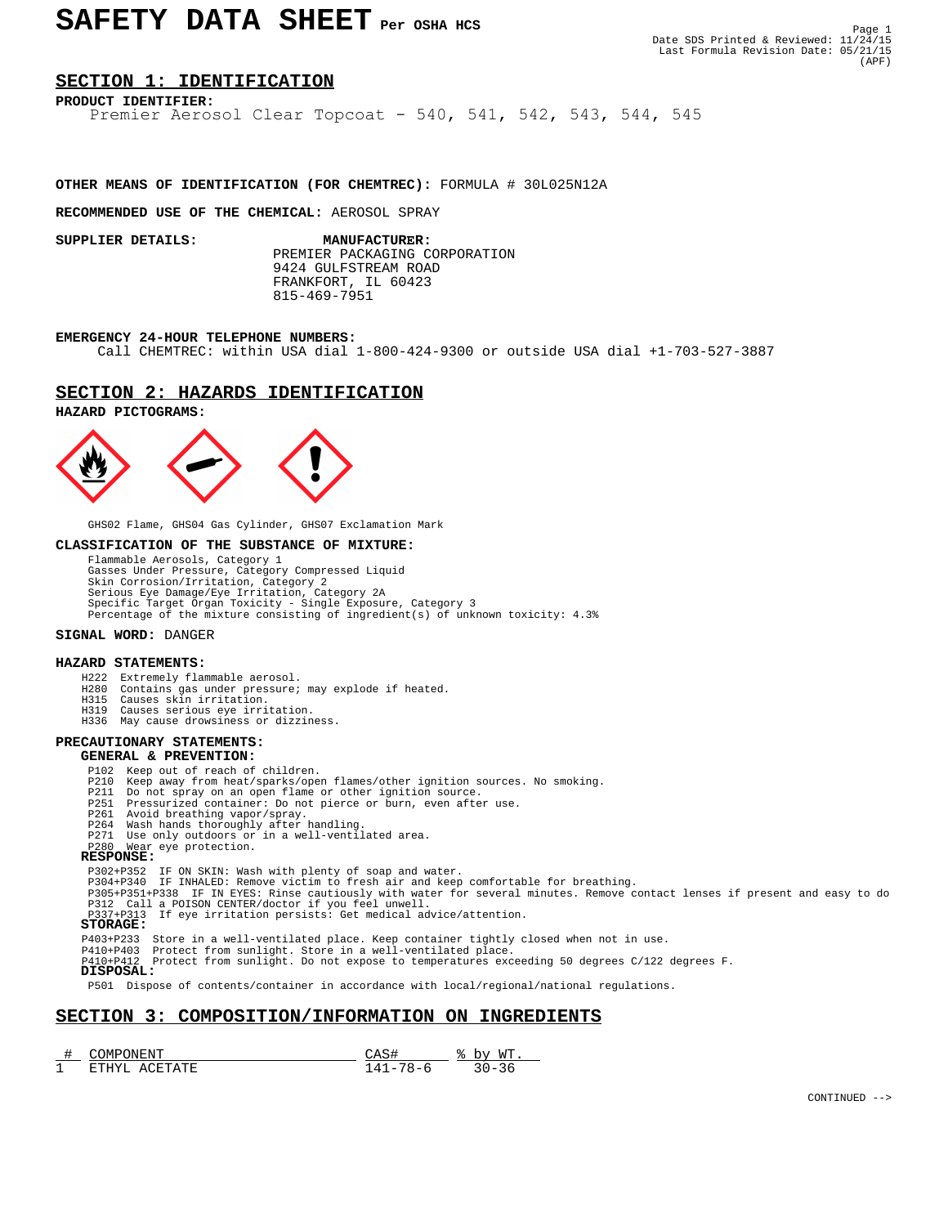# SAFETY DATA SHEET Per OSHA HCS

# **SECTION 1: IDENTIFICATION**

**PRODUCT IDENTIFIER:** Premier Aerosol Clear Topcoat - 540, 541, 542, 543, 544, 545

# **OTHER MEANS OF IDENTIFICATION (FOR CHEMTREC):** FORMULA # 30L025N12A

#### **RECOMMENDED USE OF THE CHEMICAL:** AEROSOL SPRAY

 PREMIER PACKAGING CORPORATION 9424 GULFSTREAM ROAD FRANKFORT, IL 60423 815-469-7951 **SUPPLIER DETAILS: MANUFACTURER:**

#### **EMERGENCY 24-HOUR TELEPHONE NUMBERS:**

Call CHEMTREC: within USA dial 1-800-424-9300 or outside USA dial +1-703-527-3887

# **SECTION 2: HAZARDS IDENTIFICATION**

## **HAZARD PICTOGRAMS:**



GHS02 Flame, GHS04 Gas Cylinder, GHS07 Exclamation Mark

#### **CLASSIFICATION OF THE SUBSTANCE OF MIXTURE:**

 Flammable Aerosols, Category 1 Gasses Under Pressure, Category Compressed Liquid Skin Corrosion/Irritation, Category 2 Serious Eye Damage/Eye Irritation, Category 2A Specific Target Organ Toxicity - Single Exposure, Category 3 Percentage of the mixture consisting of ingredient(s) of unknown toxicity: 4.3%

#### **SIGNAL WORD:** DANGER

## **HAZARD STATEMENTS:**

- H222 Extremely flammable aerosol.
- H280 Contains gas under pressure; may explode if heated. H315 Causes skin irritation.
	-
	- H319 Causes serious eye irritation. H336 May cause drowsiness or dizziness.

# **PRECAUTIONARY STATEMENTS:**

# **GENERAL & PREVENTION:**

- 
- P102 Keep out of reach of children. P210 Keep away from heat/sparks/open flames/other ignition sources. No smoking.
	- P211 Do not spray on an open flame or other ignition source.<br>P251 Pressurized container: Do not pierce or burn, even after
- P251 Pressurized container: Do not pierce or burn, even after use. P261 Avoid breathing vapor/spray.
	-
	- P264 Wash hands thoroughly after handling.
- P271 Use only outdoors or in a well-ventilated area. P280 Wear eye protection.

## **RESPONSE:**

- 
- P302+P352 IF ON SKIN: Wash with plenty of soap and water.<br>P304+P340 IF INHALED: Remove victim to fresh air and keep comfortable for breathing.<br>P305+P351+P338 IF IN EYES: Rinse cautiously with water for several minutes. Rem
	-

P403+P233 Store in a well-ventilated place. Keep container tightly closed when not in use.

P410+P403 Protect from sunlight. Store in a well-ventilated place. P410+P412 Protect from sunlight. Do not expose to temperatures exceeding 50 degrees C/122 degrees F.

 **DISPOSAL:**

P501 Dispose of contents/container in accordance with local/regional/national regulations.

# **SECTION 3: COMPOSITION/INFORMATION ON INGREDIENTS**

| ۱M.<br>IN H                     |                                      | <b>MT</b><br> |
|---------------------------------|--------------------------------------|---------------|
| - 67 17<br>.<br>$\Delta$ .<br>А | $\overline{\phantom{a}}$<br>. –<br>~ | _             |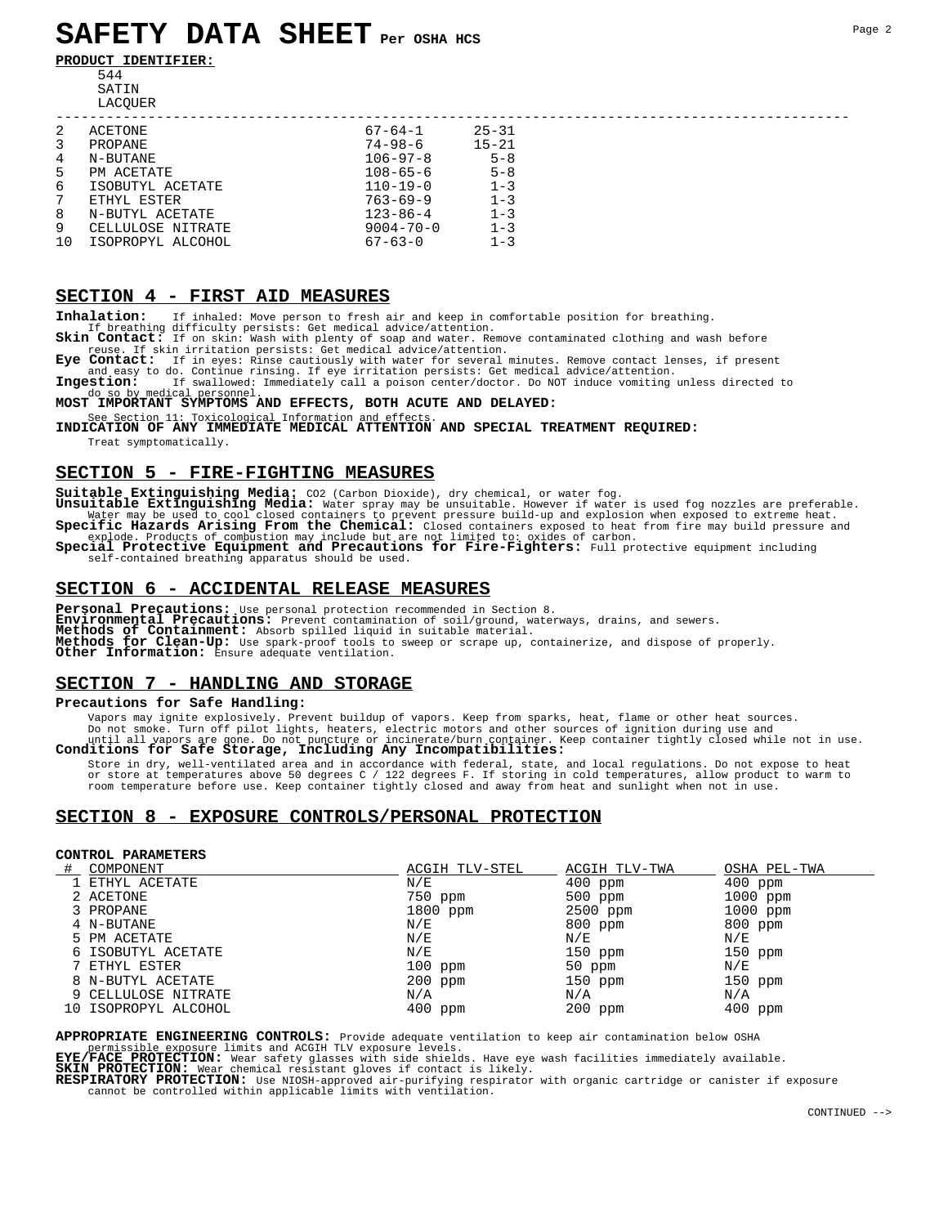**PRODUCT IDENTIFIER:**



| 2           | ACETONE           | 67-64-1         | $25 - 31$ |  |
|-------------|-------------------|-----------------|-----------|--|
| 3           | PROPANE           | $74 - 98 - 6$   | $15 - 21$ |  |
| 4           | N-BUTANE          | $106 - 97 - 8$  | $5 - 8$   |  |
| 5           | PM ACETATE        | $108 - 65 - 6$  | $5 - 8$   |  |
| 6           | ISOBUTYL ACETATE  | $110 - 19 - 0$  | $1 - 3$   |  |
| $7^{\circ}$ | ETHYL ESTER       | $763 - 69 - 9$  | $1 - 3$   |  |
| 8           | N-BUTYL ACETATE   | $123 - 86 - 4$  | $1 - 3$   |  |
| 9           | CELLULOSE NITRATE | $9004 - 70 - 0$ | $1 - 3$   |  |
| $10^{-}$    | ISOPROPYL ALCOHOL | $67 - 63 - 0$   | $1 - 3$   |  |

# **SECTION 4 - FIRST AID MEASURES**

**Inhalation:** If inhaled: Move person to fresh air and keep in comfortable position for breathing.

If breathing difficulty persists: Get medical advice/attention.<br>**Skin Contact:** If on skin: Wash with plenty of soap and water. Remove contaminated clothing and wash before<br>reuse. If skin irritation persists: Get medical a

Eye Contact: If in eyes: Rinse cautiously with water for several minutes. Remove contact lenses, if present<br>and easy to do. Continue rinsing. If eye irritation persists: Get medical advice/attention.<br>Ingestion: If swallowe

# do so by medical personnel.<br>**MOST IMPORTANT SYMPTOMS AND EFFECTS, BOTH ACUTE AND DELAYED:**

See Section 11: Toxicological Information and effects.<br>**INDICATION OF ANY IMMEDIATE MEDICAL ATTENTION AND SPECIAL TREATMENT REQUIRED:** Treat symptomatically.

# **SECTION 5 - FIRE-FIGHTING MEASURES**

Suitable Extinguishing Media: CO2 (Carbon Dioxide), dry chemical, or water fog.<br>Unsuitable Extinguishing Media: Water spray may be unsuitable. However if water is used fog nozzles are preferable.<br>Water may be used to cool explode. Products of combustion may include but are not limited to: oxides of carbon.<br>**Special Protective Equipment and Precautions for Fire-Fighters:** Full protective equipment including

self-contained breathing apparatus should be used.

# **SECTION 6 - ACCIDENTAL RELEASE MEASURES**

**Personal Precautions:** Use personal protection recommended in Section 8.<br>**Environmental Precautions:** Prevent contamination of soil/ground, waterways, drains, and sewers.<br>**Methods of Containment:** Absorb spilled liquid in **Methods for Clean-Up:** Use spark-proof tools to sweep or scrape up, containerize, and dispose of properly. **Other Information:** Ensure adequate ventilation.

# **SECTION 7 - HANDLING AND STORAGE**

## **Precautions for Safe Handling:**

Vapors may ignite explosively. Prevent buildup of vapors. Keep from sparks, heat, flame or other heat sources.<br>Do not smoot smoot on the interest electric motors and other sources of ignition during use and<br>until all vapor

Store in dry, well-ventilated area and in accordance with federal, state, and local regulations. Do not expose to heat<br>or store at temperatures above 50 degrees C / 122 degrees F. If storing in cold temperatures, allow pro

# **SECTION 8 - EXPOSURE CONTROLS/PERSONAL PROTECTION**

# **CONTROL PARAMETERS**

| COMPONENT            | ACGIH TLV-STEL          | ACGIH TLV-TWA | OSHA PEL-TWA |
|----------------------|-------------------------|---------------|--------------|
| 1 ETHYL ACETATE      | $\mathrm{N}/\mathrm{E}$ | $400$ ppm     | $400$ ppm    |
| 2 ACETONE            | 750 ppm                 | $500$ ppm     | $1000$ ppm   |
| 3 PROPANE            | $1800$ ppm              | 2500 ppm      | $1000$ ppm   |
| 4 N-BUTANE           | N/E                     | 800 ppm       | $800$ ppm    |
| 5 PM ACETATE         | N/E                     | N/E           | N/E          |
| 6 ISOBUTYL ACETATE   | N/E                     | $150$ ppm     | $150$ ppm    |
| 7 ETHYL ESTER        | $100$ ppm               | $50$ ppm      | N/E          |
| 8 N-BUTYL ACETATE    | $200$ ppm               | 150 ppm       | 150 ppm      |
| 9 CELLULOSE NITRATE  | N/A                     | N/A           | N/A          |
| 10 ISOPROPYL ALCOHOL | 400 ppm                 | $200$ ppm     | $400$ ppm    |

**APPROPRIATE ENGINEERING CONTROLS:** Provide adequate ventilation to keep air contamination below OSHA

permissible exposure limits and ACGIH TLV exposure levels.<br>**EYE/FACE PROTECTION:** Wear safety glasses with side shields. Have eye wash facilities immediately available.

**SKIN PROTECTION:** Wear chemical resistant gloves if contact is likely.

**RESPIRATORY PROTECTION:** Use NIOSH-approved air-purifying respirator with organic cartridge or canister if exposure cannot be controlled within applicable limits with ventilation.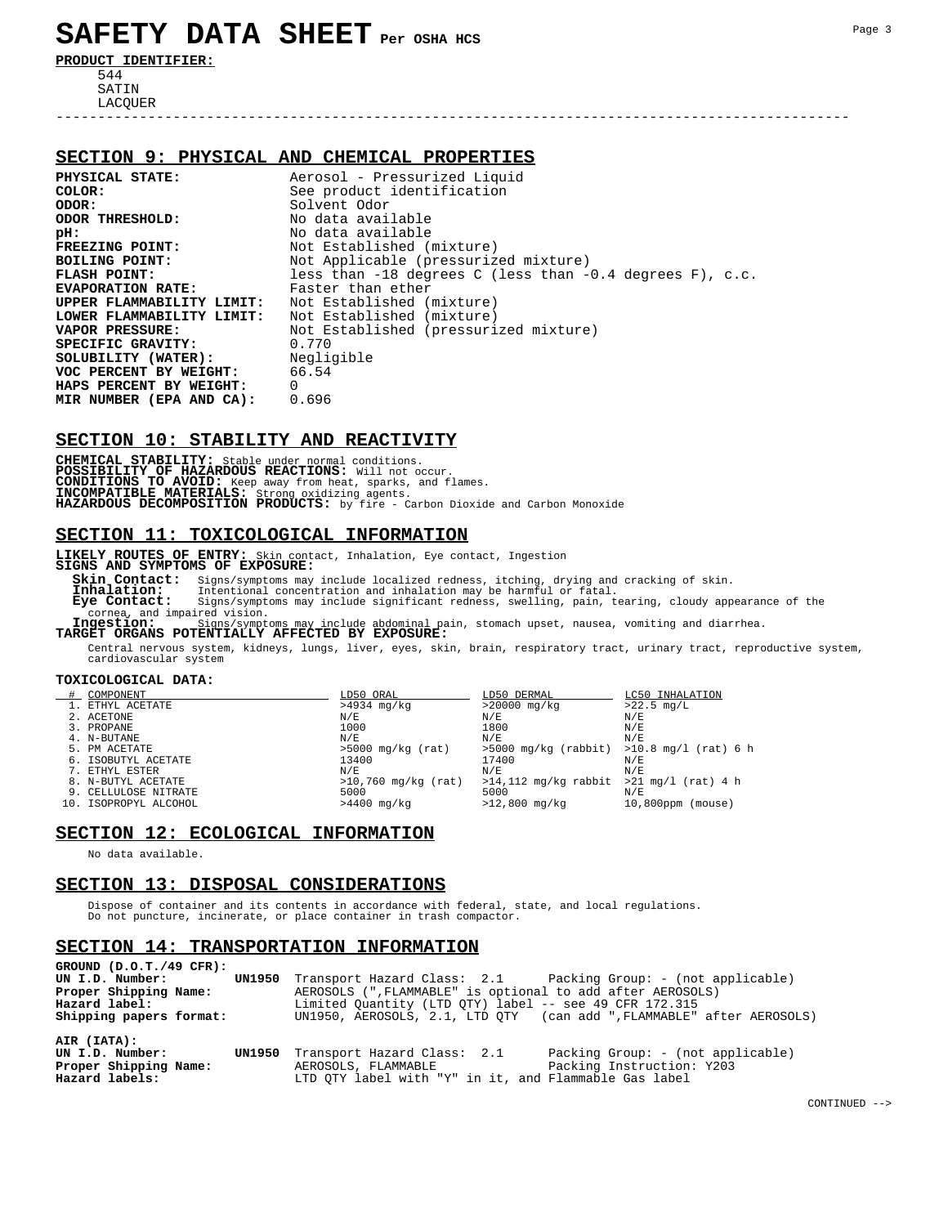# **SAFETY DATA SHEET Per OSHA HCS**

**PRODUCT IDENTIFIER:** 544 SATIN LACQUER

# **SECTION 9: PHYSICAL AND CHEMICAL PROPERTIES**

**PHYSICAL STATE:**  $\begin{array}{r} \text{Aerosol - Prescurized Liquid} \\ \text{COLOR:} \end{array}$ **COLOR:** See product identification<br>
Solvent Odor<br>
Solvent Odor **ODOR:** Solvent Odor<br> **ODOR THRESHOLD:** No data avai **ODOR THRESHOLD:** No data available<br> **PH:** No data available **pH:** No data available<br> **FREEZING POINT:** Not Established ( **FREEZING POINT:** Not Established (mixture)<br>BOILING POINT: Not Applicable (pressuriz **BOILING POINT:**  $N$ ot Applicable (pressurized mixture)<br>**FLASH POINT:** less than -18 degrees C (less than -**FLASH POINT:** less than -18 degrees C (less than -0.4 degrees F), c.c.<br>**EVAPORATION RATE:** Faster than ether **EVAPORATION RATE:** Faster than ether **UPPER FLAMMABILITY LIMIT:** Not Established (mixture) **LOWER FLAMMABILITY LIMIT:** Not Established (mixture) **VAPOR PRESSURE:** Not Established (pressurized mixture)<br> **SPECIFIC GRAVITY:** 0.770 **SPECIFIC GRAVITY:** 0.770<br>**SOLUBILITY (WATER):** Negligible **SOLUBILITY (WATER):** Negli<br>**VOC PERCENT BY WEIGHT:** 66.54 **VOC PERCENT BY WEIGHT:** 66.54<br> **HAPS PERCENT BY WEIGHT:** 0<br> **MIR NUMBER (EPA AND CA):** 0.696 **HAPS PERCENT BY WEIGHT:** 0 **MIR NUMBER (EPA AND CA):** 0.696

-----------------------------------------------------------------------------------------------

# **SECTION 10: STABILITY AND REACTIVITY**

**CHEMICAL STABILITY:** Stable under normal conditions. POSSIBILITY OF HAZARDOUS REACTIONS: Will not occur.<br>CONDITIONS TO AVOID: Keep away from heat, sparks, and flames.<br>INCOMPATIBLE MATERIALS: Strong oxidizing agents.<br>HAZARDOUS DECOMPOSITION PRODUCTS: by fire - Carbon Dioxide

# **SECTION 11: TOXICOLOGICAL INFORMATION**

**LIKELY ROUTES OF ENTRY:** Skin contact, Inhalation, Eye contact, Ingestion **SIGNS AND SYMPTOMS OF EXPOSURE:**

**Skin Contact:** Signs/symptoms may include localized redness, itching, drying and cracking of skin.<br> **Inhalation:** Intentional concentration and inhalation may be harmful or fatal.<br> **Eye Contact:** Signs/symptoms may includ  **Inhalation:** Intentional concentration and inhalation may be harmful or fatal.  **Eye Contact:** Signs/symptoms may include significant redness, swelling, pain, tearing, cloudy appearance of the cornea, and impaired vision.<br> **Ingestion:** Sime (summair)

 **Ingestion:** Signs/symptoms may include abdominal pain, stomach upset, nausea, vomiting and diarrhea. **TARGET ORGANS POTENTIALLY AFFECTED BY EXPOSURE:**

 Central nervous system, kidneys, lungs, liver, eyes, skin, brain, respiratory tract, urinary tract, reproductive system, cardiovascular system

#### **TOXICOLOGICAL DATA:**

| COMPONENT             | LD50 ORAL             | LD50 DERMAL                                   | LC50 INHALATION      |
|-----------------------|-----------------------|-----------------------------------------------|----------------------|
| 1. ETHYL ACETATE      | $>4934$ mg/kg         | >20000 mg/kg                                  | $>22.5$ mg/L         |
| 2. ACETONE            | N/E                   | N/E                                           | N/E                  |
| 3. PROPANE            | 1000                  | 1800                                          | N/E                  |
| 4. N-BUTANE           | N/E                   | N/E                                           | N/E                  |
| 5. PM ACETATE         | $>5000$ mg/kg (rat)   | $>5000$ mg/kg (rabbit) $>10.8$ mg/l (rat) 6 h |                      |
| 6. ISOBUTYL ACETATE   | 13400                 | 17400                                         | N/E                  |
| 7. ETHYL ESTER        | N/E                   | N/E                                           | N/E                  |
| 8. N-BUTYL ACETATE    | $>10,760$ mg/kg (rat) | $>14,112$ mg/kg rabbit $>21$ mg/l (rat) 4 h   |                      |
| 9. CELLULOSE NITRATE  | 5000                  | 5000                                          | N/E                  |
| 10. ISOPROPYL ALCOHOL | $>4400$ mg/kg         | $>12,800$ mg/kg                               | $10,800$ ppm (mouse) |

# **SECTION 12: ECOLOGICAL INFORMATION**

No data available.

# **SECTION 13: DISPOSAL CONSIDERATIONS**

 Dispose of container and its contents in accordance with federal, state, and local regulations. Do not puncture, incinerate, or place container in trash compactor.

### **SECTION 14: TRANSPORTATION INFORMATION**

| GROUND $(D.0.T./49$ CFR):<br>UN I.D. Number:<br>Proper Shipping Name:<br>Hazard label:<br>Shipping papers format: | <b>UN1950</b> Transport Hazard Class: 2.1 Packing Group: - (not applicable)<br>AEROSOLS (", FLAMMABLE" is optional to add after AEROSOLS)<br>Limited Ouantity (LTD OTY) label -- see 49 CFR 172.315<br>UN1950, AEROSOLS, 2.1, LTD OTY (can add ", FLAMMABLE" after AEROSOLS) |
|-------------------------------------------------------------------------------------------------------------------|------------------------------------------------------------------------------------------------------------------------------------------------------------------------------------------------------------------------------------------------------------------------------|
| AIR (IATA):<br>UN I.D. Number:<br>Proper Shipping Name:<br>Hazard labels:                                         | UN1950 Transport Hazard Class: 2.1<br>Packing Group: - (not applicable)<br>Packing Instruction: Y203<br>AEROSOLS, FLAMMABLE<br>LTD OTY label with "Y" in it, and Flammable Gas label                                                                                         |

CONTINUED -->